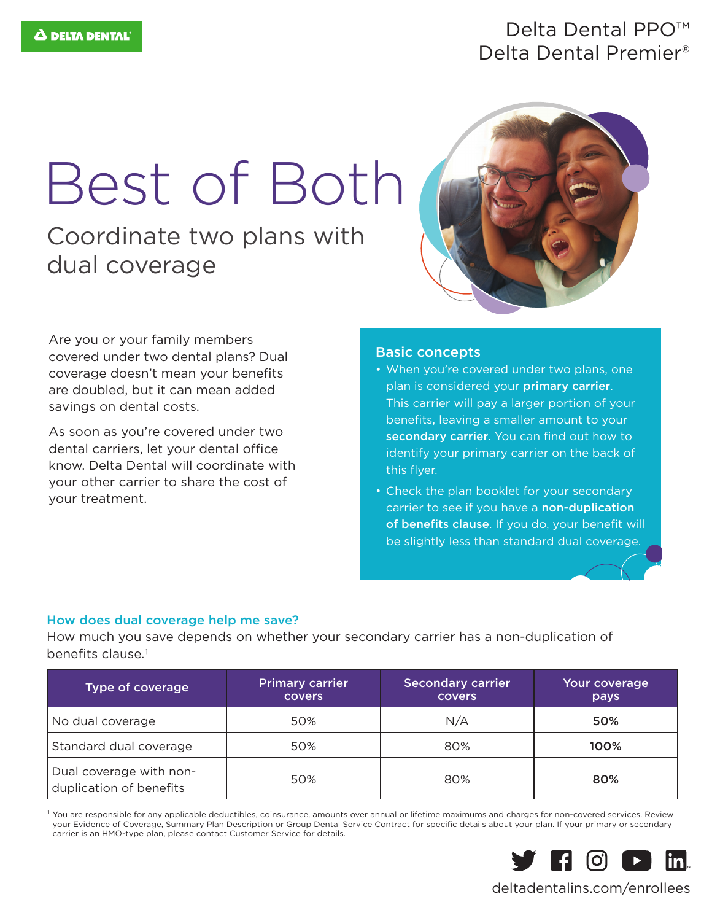### Delta Dental PPO™ Delta Dental Premier®

# Best of Both

Coordinate two plans with dual coverage



Are you or your family members covered under two dental plans? Dual coverage doesn't mean your benefits are doubled, but it can mean added savings on dental costs.

As soon as you're covered under two dental carriers, let your dental office know. Delta Dental will coordinate with your other carrier to share the cost of your treatment.

#### Basic concepts

- When you're covered under two plans, one plan is considered your primary carrier. This carrier will pay a larger portion of your benefits, leaving a smaller amount to your secondary carrier. You can find out how to identify your primary carrier on the back of this flyer.
- Check the plan booklet for your secondary carrier to see if you have a non-duplication of benefits clause. If you do, your benefit will be slightly less than standard dual coverage.

#### How does dual coverage help me save?

How much you save depends on whether your secondary carrier has a non-duplication of benefits clause.1

| <b>Type of coverage</b>                            | <b>Primary carrier</b><br><b>covers</b> | <b>Secondary carrier</b><br><b>covers</b> | Your coverage<br>pays |
|----------------------------------------------------|-----------------------------------------|-------------------------------------------|-----------------------|
| No dual coverage                                   | 50%                                     | N/A                                       | 50%                   |
| Standard dual coverage                             | 50%                                     | 80%                                       | 100%                  |
| Dual coverage with non-<br>duplication of benefits | 50%                                     | 80%                                       | 80%                   |

<sup>1</sup> You are responsible for any applicable deductibles, coinsurance, amounts over annual or lifetime maximums and charges for non-covered services. Review your Evidence of Coverage, Summary Plan Description or Group Dental Service Contract for specific details about your plan. If your primary or secondary carrier is an HMO-type plan, please contact Customer Service for details.



#### deltadentalins.com/enrollees